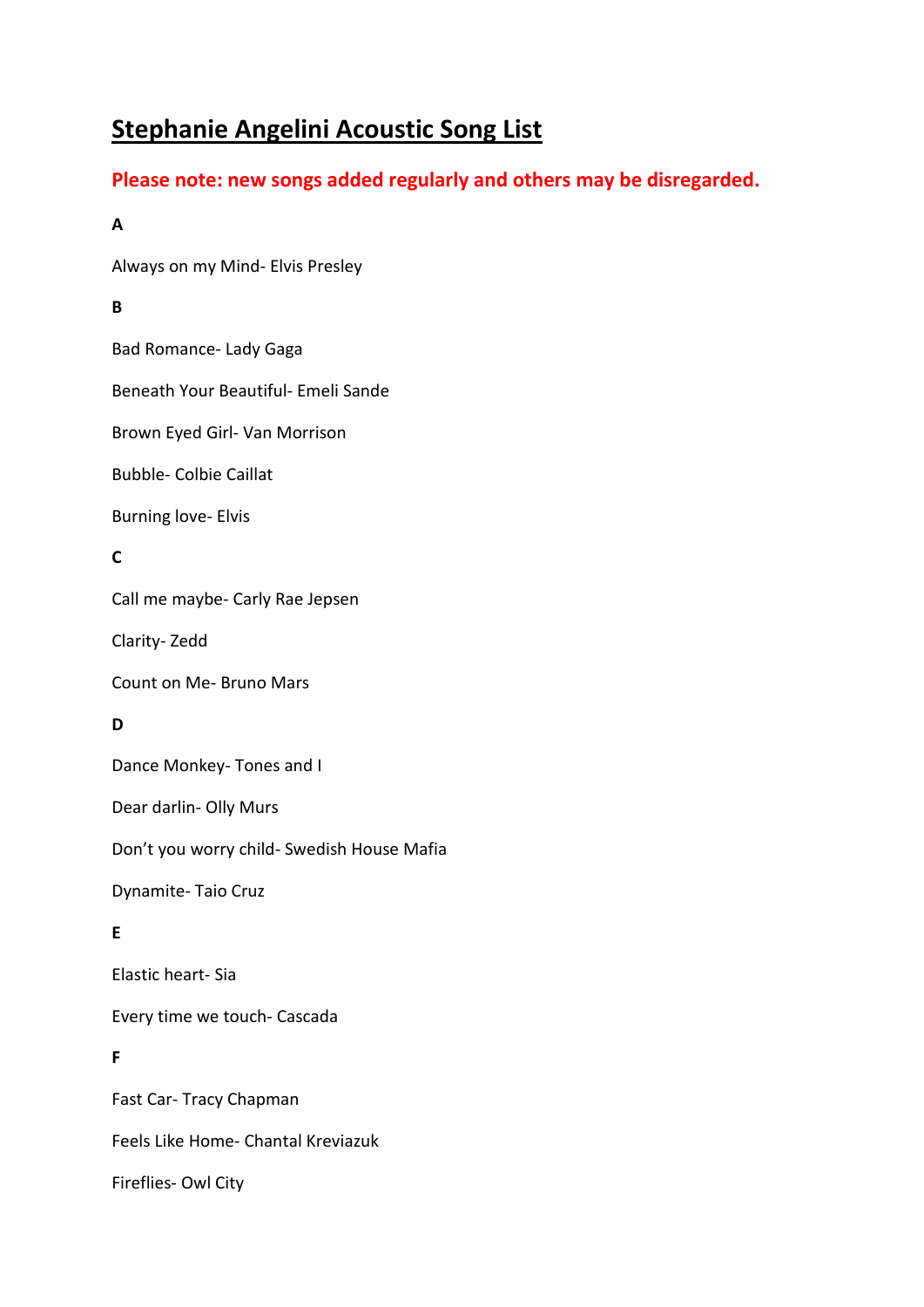# **Stephanie Angelini Acoustic Song List**

## **Please note: new songs added regularly and others may be disregarded.**

### **A**

Always on my Mind- Elvis Presley

### **B**

Bad Romance- Lady Gaga

Beneath Your Beautiful- Emeli Sande

Brown Eyed Girl- Van Morrison

Bubble- Colbie Caillat

Burning love- Elvis

### **C**

Call me maybe- Carly Rae Jepsen

Clarity- Zedd

Count on Me- Bruno Mars

### **D**

Dance Monkey- Tones and I

Dear darlin- Olly Murs

Don't you worry child- Swedish House Mafia

Dynamite- Taio Cruz

### **E**

Elastic heart- Sia

Every time we touch- Cascada

### **F**

Fast Car- Tracy Chapman Feels Like Home- Chantal Kreviazuk Fireflies- Owl City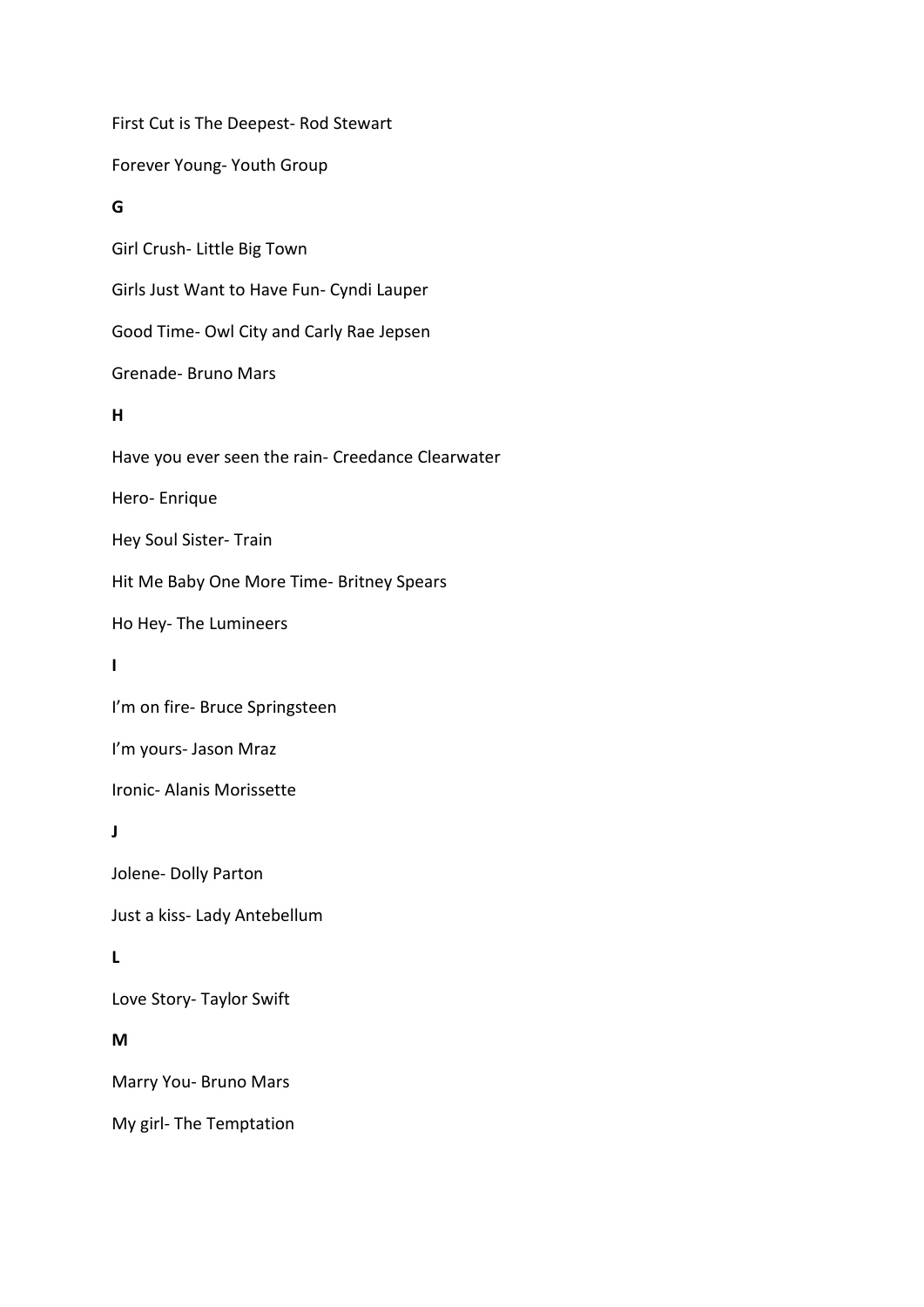First Cut is The Deepest- Rod Stewart Forever Young- Youth Group **G** Girl Crush- Little Big Town Girls Just Want to Have Fun- Cyndi Lauper Good Time- Owl City and Carly Rae Jepsen Grenade- Bruno Mars **H** Have you ever seen the rain- Creedance Clearwater Hero- Enrique Hey Soul Sister- Train Hit Me Baby One More Time- Britney Spears Ho Hey- The Lumineers **I** I'm on fire- Bruce Springsteen I'm yours- Jason Mraz Ironic- Alanis Morissette **J** Jolene- Dolly Parton Just a kiss- Lady Antebellum **L** Love Story- Taylor Swift **M** Marry You- Bruno Mars My girl- The Temptation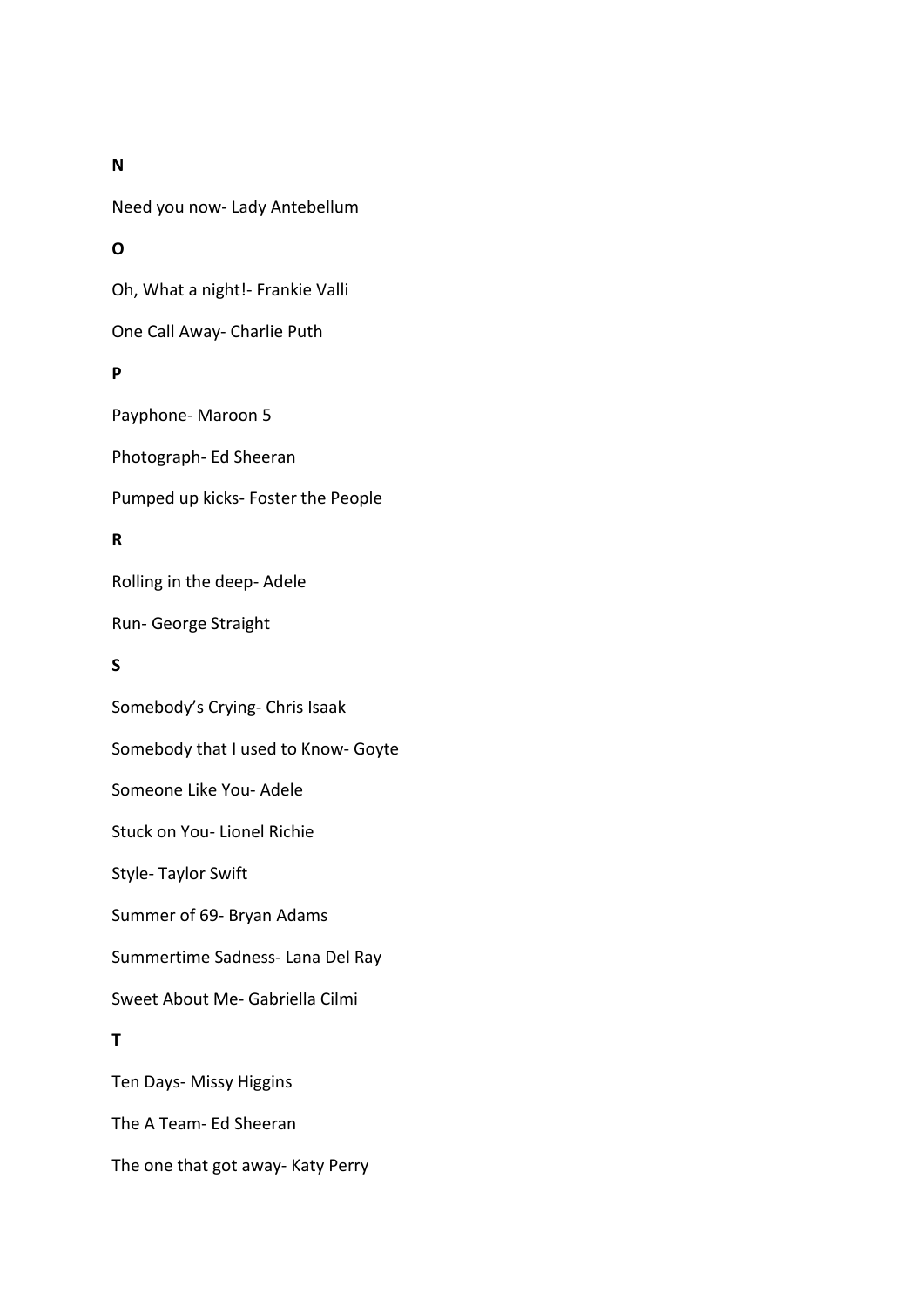**N**

Need you now- Lady Antebellum

### **O**

Oh, What a night!- Frankie Valli

One Call Away- Charlie Puth

### **P**

Payphone- Maroon 5

Photograph- Ed Sheeran

Pumped up kicks- Foster the People

### **R**

Rolling in the deep- Adele

Run- George Straight

### **S**

Somebody's Crying- Chris Isaak Somebody that I used to Know- Goyte Someone Like You- Adele Stuck on You- Lionel Richie Style- Taylor Swift Summer of 69- Bryan Adams Summertime Sadness- Lana Del Ray Sweet About Me- Gabriella Cilmi **T** Ten Days- Missy Higgins The A Team- Ed Sheeran

The one that got away- Katy Perry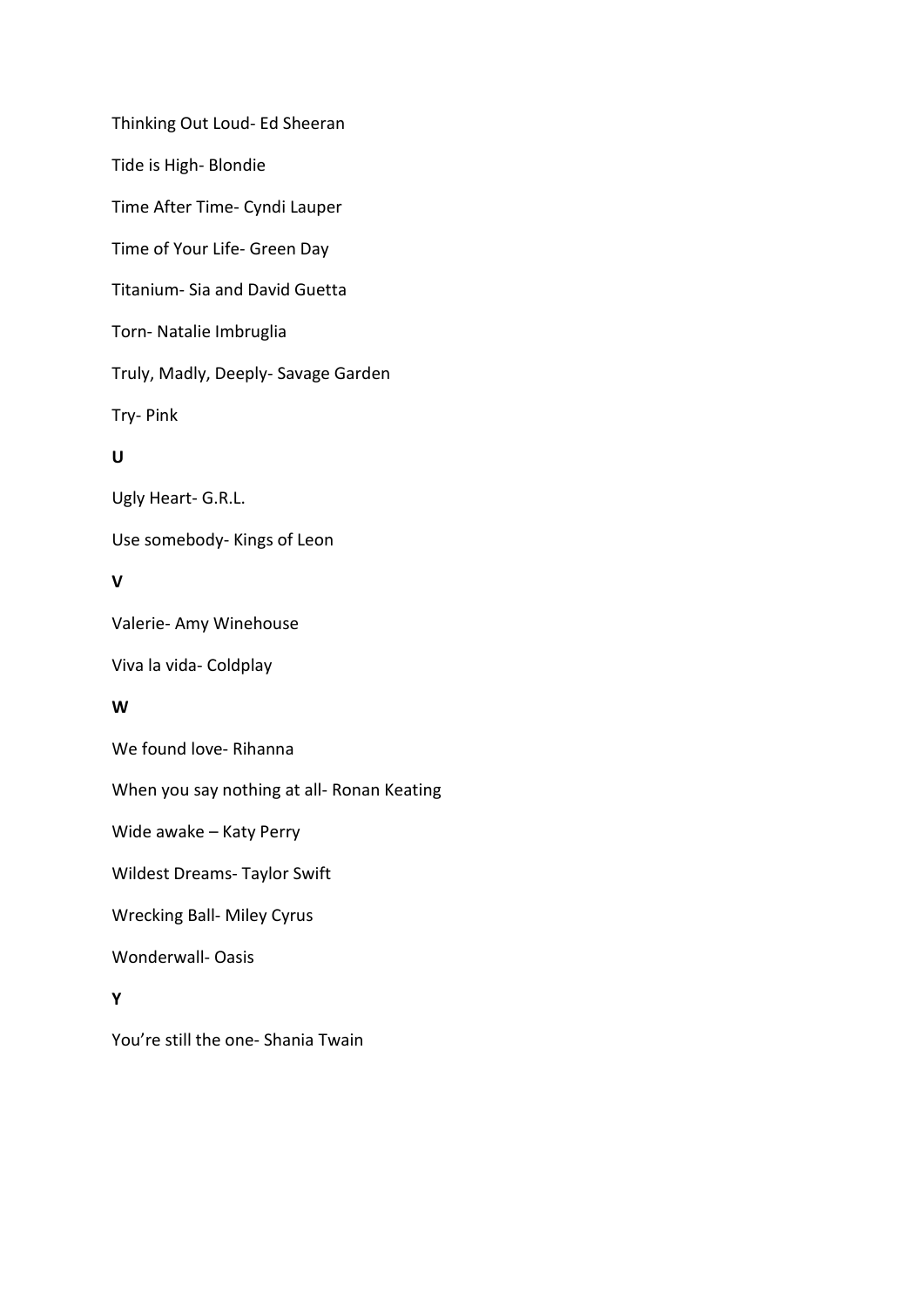Thinking Out Loud- Ed Sheeran Tide is High- Blondie Time After Time- Cyndi Lauper Time of Your Life- Green Day Titanium- Sia and David Guetta Torn- Natalie Imbruglia Truly, Madly, Deeply- Savage Garden Try- Pink **U** Ugly Heart- G.R.L. Use somebody- Kings of Leon **V** Valerie- Amy Winehouse Viva la vida- Coldplay **W** We found love- Rihanna When you say nothing at all- Ronan Keating Wide awake – Katy Perry Wildest Dreams- Taylor Swift Wrecking Ball- Miley Cyrus Wonderwall- Oasis **Y**

You're still the one- Shania Twain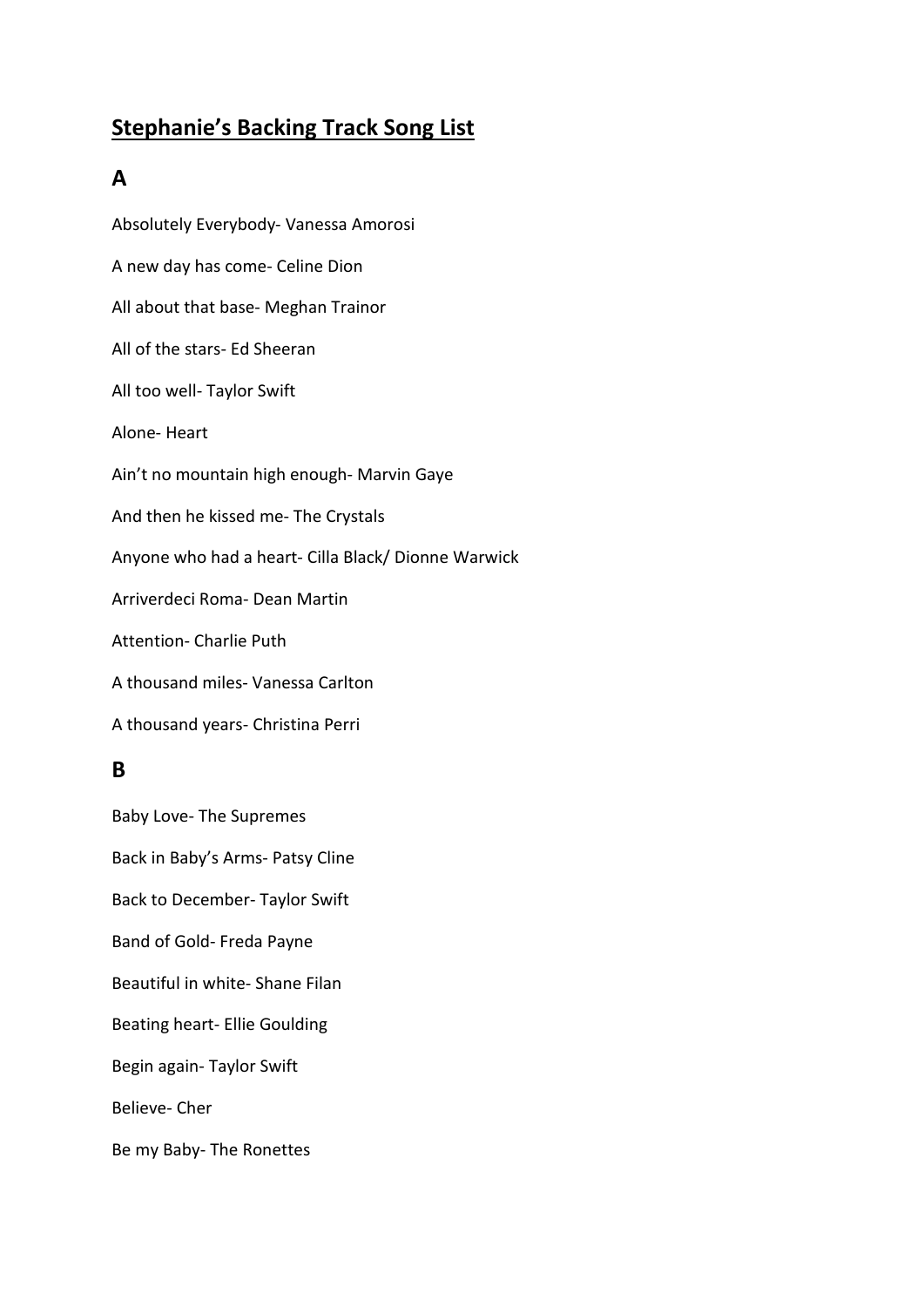# **Stephanie's Backing Track Song List**

## **A**

Absolutely Everybody- Vanessa Amorosi A new day has come- Celine Dion All about that base- Meghan Trainor All of the stars- Ed Sheeran All too well- Taylor Swift Alone- Heart Ain't no mountain high enough- Marvin Gaye And then he kissed me- The Crystals Anyone who had a heart- Cilla Black/ Dionne Warwick Arriverdeci Roma- Dean Martin Attention- Charlie Puth A thousand miles- Vanessa Carlton A thousand years- Christina Perri

## **B**

Baby Love- The Supremes Back in Baby's Arms- Patsy Cline Back to December- Taylor Swift Band of Gold- Freda Payne Beautiful in white- Shane Filan Beating heart- Ellie Goulding Begin again- Taylor Swift Believe- Cher Be my Baby- The Ronettes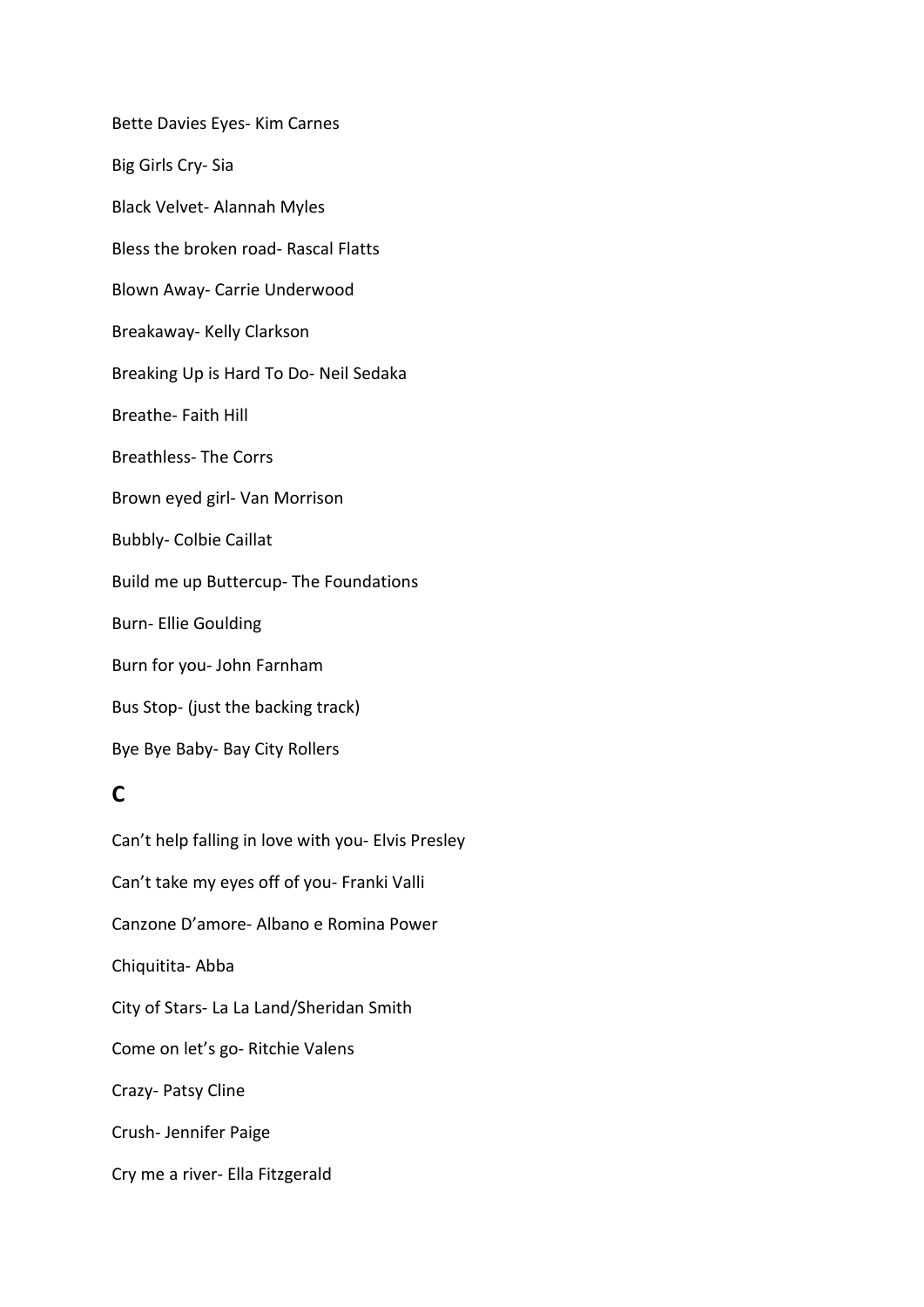Bette Davies Eyes- Kim Carnes Big Girls Cry- Sia Black Velvet- Alannah Myles Bless the broken road- Rascal Flatts Blown Away- Carrie Underwood Breakaway- Kelly Clarkson Breaking Up is Hard To Do- Neil Sedaka Breathe- Faith Hill Breathless- The Corrs Brown eyed girl- Van Morrison Bubbly- Colbie Caillat Build me up Buttercup- The Foundations Burn- Ellie Goulding Burn for you- John Farnham Bus Stop- (just the backing track) Bye Bye Baby- Bay City Rollers

## **C**

Can't help falling in love with you- Elvis Presley Can't take my eyes off of you- Franki Valli Canzone D'amore- Albano e Romina Power Chiquitita- Abba City of Stars- La La Land/Sheridan Smith Come on let's go- Ritchie Valens Crazy- Patsy Cline Crush- Jennifer Paige Cry me a river- Ella Fitzgerald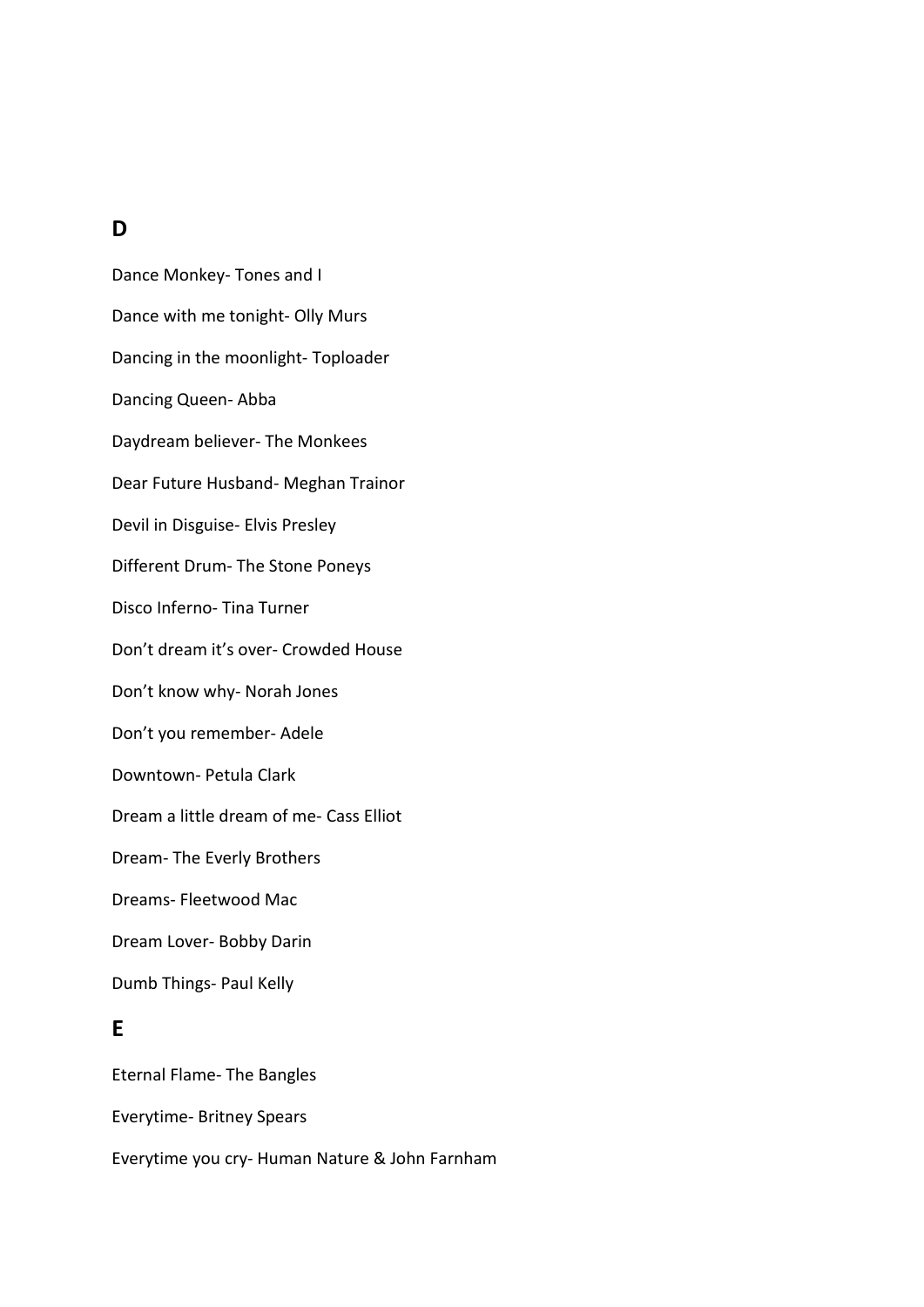### **D**

Dance Monkey- Tones and I Dance with me tonight- Olly Murs Dancing in the moonlight- Toploader Dancing Queen- Abba Daydream believer- The Monkees Dear Future Husband- Meghan Trainor Devil in Disguise- Elvis Presley Different Drum- The Stone Poneys Disco Inferno- Tina Turner Don't dream it's over- Crowded House Don't know why- Norah Jones Don't you remember- Adele Downtown- Petula Clark Dream a little dream of me- Cass Elliot Dream- The Everly Brothers Dreams- Fleetwood Mac Dream Lover- Bobby Darin Dumb Things- Paul Kelly **E** Eternal Flame- The Bangles Everytime- Britney Spears

Everytime you cry- Human Nature & John Farnham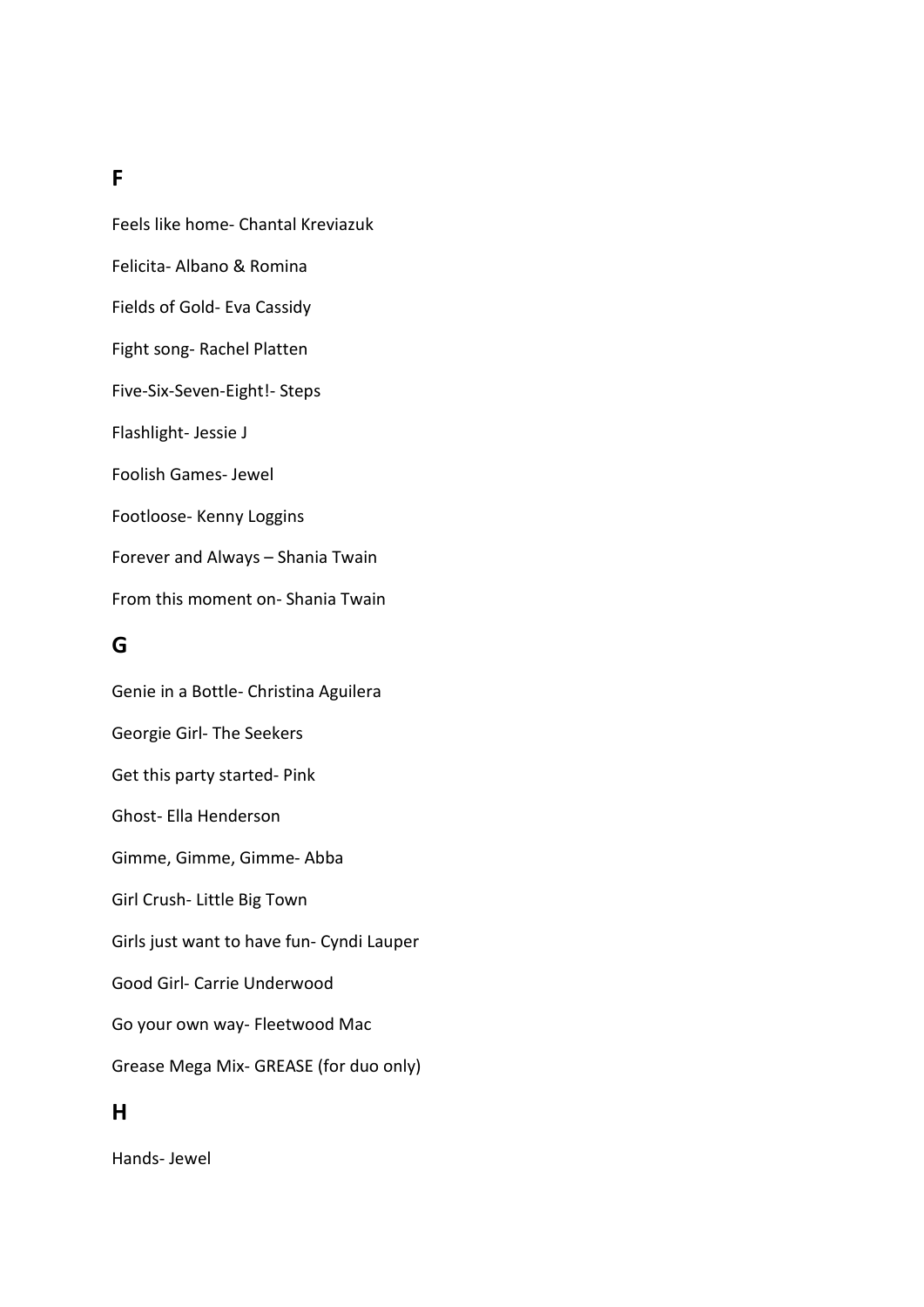### **F**

Feels like home- Chantal Kreviazuk Felicita- Albano & Romina Fields of Gold- Eva Cassidy Fight song- Rachel Platten Five-Six-Seven-Eight!- Steps Flashlight- Jessie J Foolish Games- Jewel Footloose- Kenny Loggins Forever and Always – Shania Twain From this moment on- Shania Twain

### **G**

Genie in a Bottle- Christina Aguilera Georgie Girl- The Seekers Get this party started- Pink Ghost- Ella Henderson Gimme, Gimme, Gimme- Abba Girl Crush- Little Big Town Girls just want to have fun- Cyndi Lauper Good Girl- Carrie Underwood Go your own way- Fleetwood Mac Grease Mega Mix- GREASE (for duo only) **H**

Hands- Jewel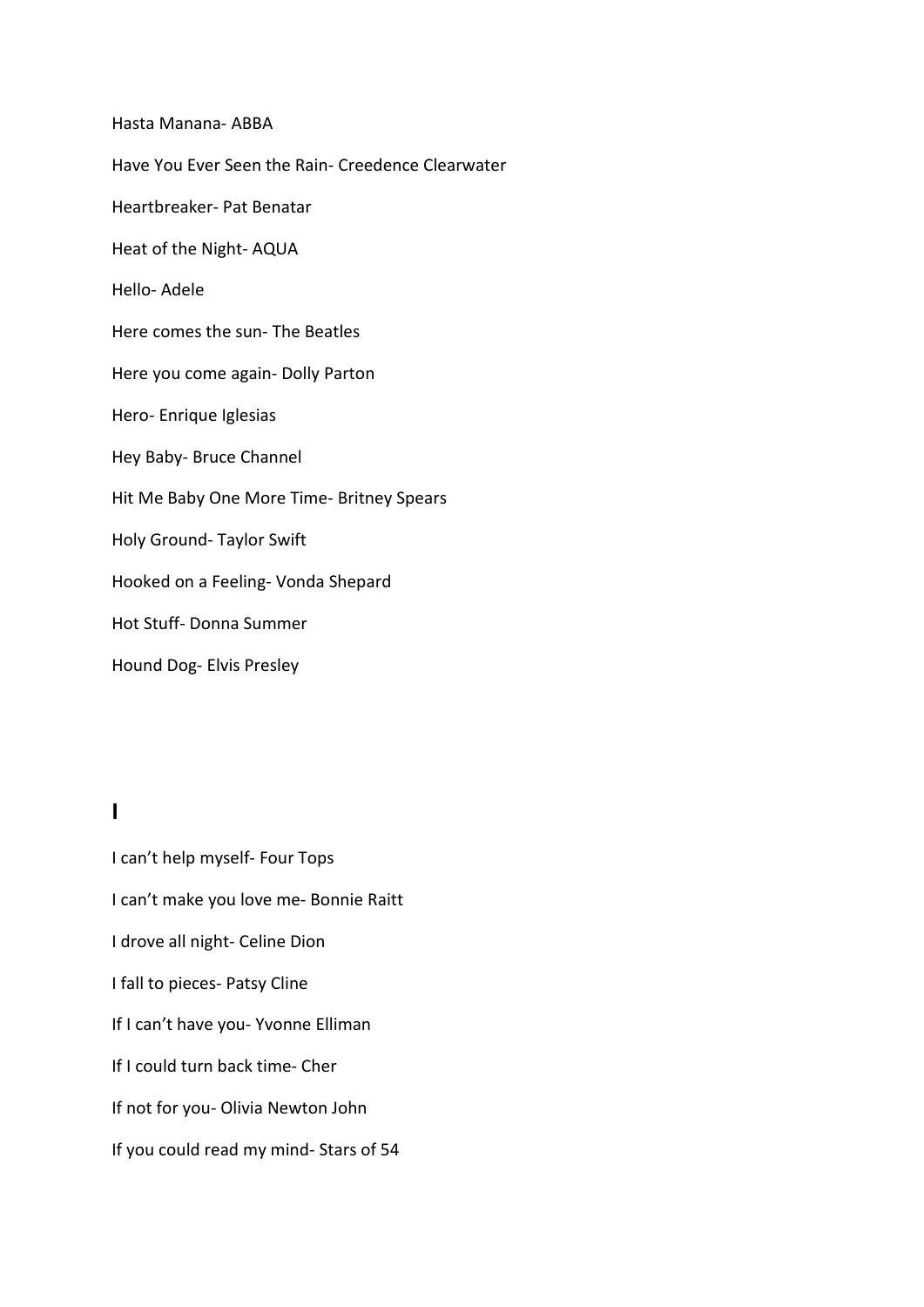Hasta Manana- ABBA Have You Ever Seen the Rain- Creedence Clearwater Heartbreaker- Pat Benatar Heat of the Night- AQUA Hello- Adele Here comes the sun- The Beatles Here you come again- Dolly Parton Hero- Enrique Iglesias Hey Baby- Bruce Channel Hit Me Baby One More Time- Britney Spears Holy Ground- Taylor Swift Hooked on a Feeling- Vonda Shepard Hot Stuff- Donna Summer Hound Dog- Elvis Presley

### **I**

I can't help myself- Four Tops I can't make you love me- Bonnie Raitt I drove all night- Celine Dion I fall to pieces- Patsy Cline If I can't have you- Yvonne Elliman If I could turn back time- Cher If not for you- Olivia Newton John If you could read my mind- Stars of 54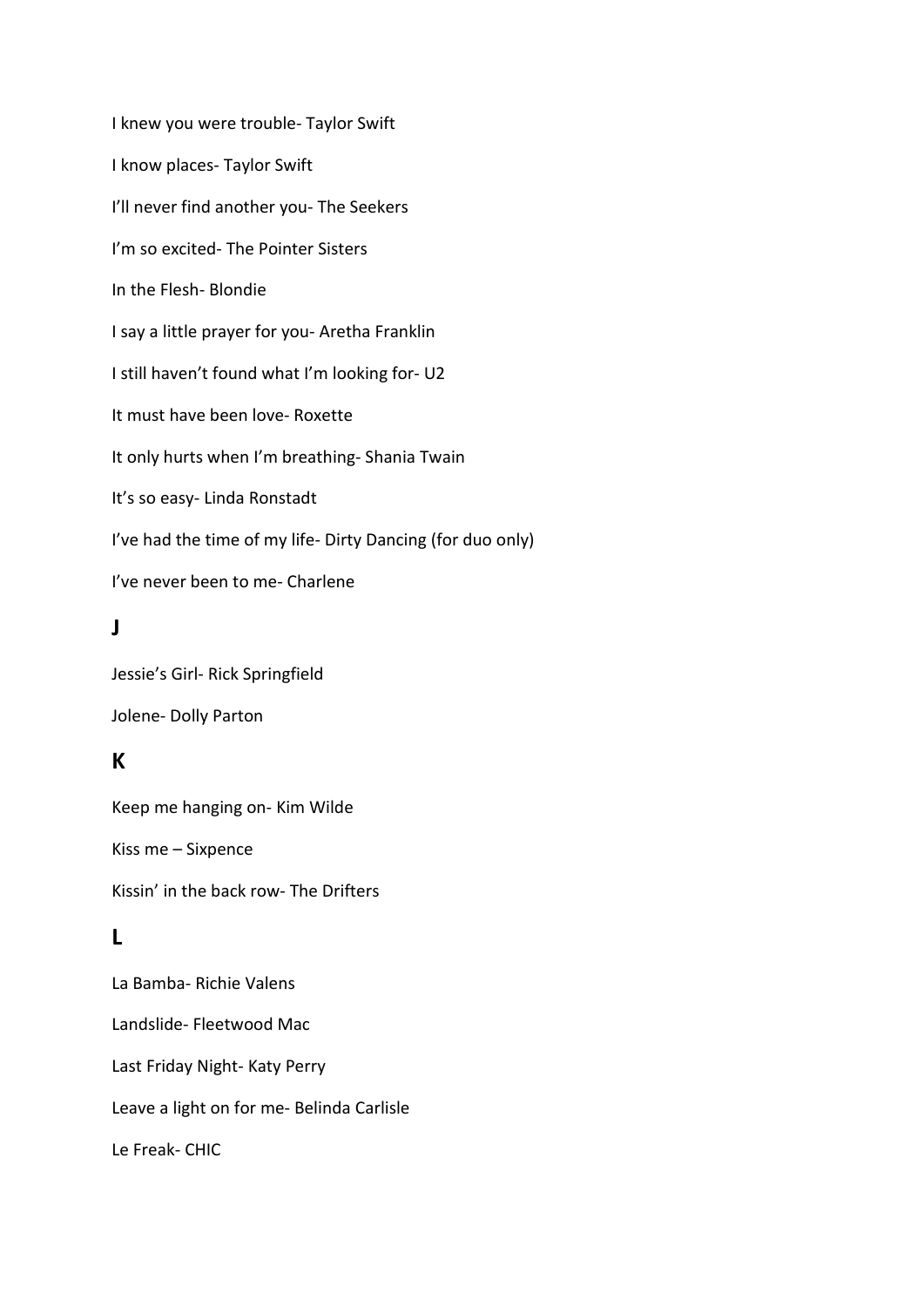I knew you were trouble- Taylor Swift I know places- Taylor Swift I'll never find another you- The Seekers I'm so excited- The Pointer Sisters In the Flesh- Blondie I say a little prayer for you- Aretha Franklin I still haven't found what I'm looking for- U2 It must have been love- Roxette It only hurts when I'm breathing- Shania Twain It's so easy- Linda Ronstadt I've had the time of my life- Dirty Dancing (for duo only) I've never been to me- Charlene

## **J**

Jessie's Girl- Rick Springfield Jolene- Dolly Parton

## **K**

Keep me hanging on- Kim Wilde Kiss me – Sixpence Kissin' in the back row- The Drifters

## **L**

La Bamba- Richie Valens Landslide- Fleetwood Mac Last Friday Night- Katy Perry Leave a light on for me- Belinda Carlisle Le Freak- CHIC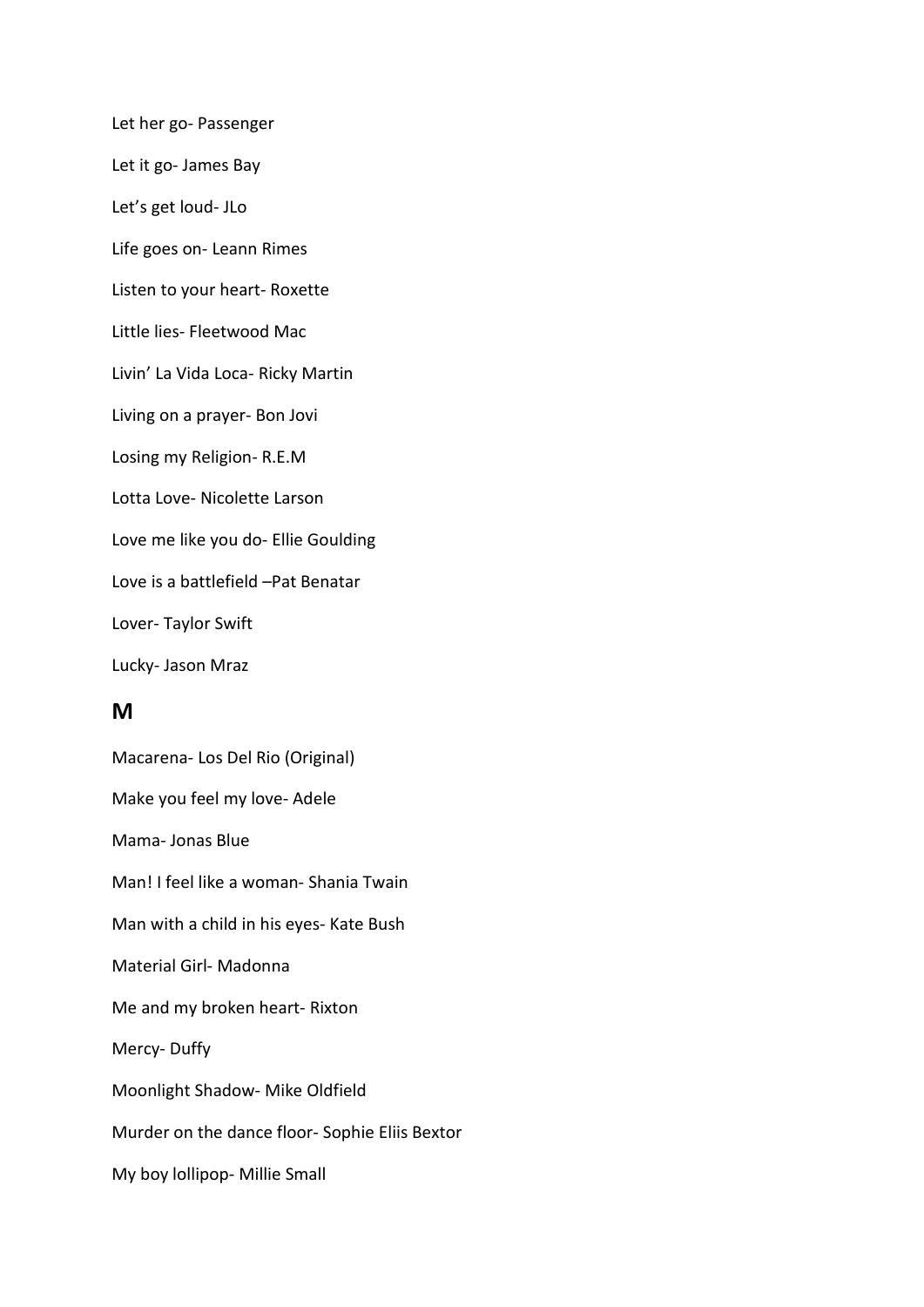Let her go- Passenger Let it go- James Bay Let's get loud- JLo Life goes on- Leann Rimes Listen to your heart- Roxette Little lies- Fleetwood Mac Livin' La Vida Loca- Ricky Martin Living on a prayer- Bon Jovi Losing my Religion- R.E.M Lotta Love- Nicolette Larson Love me like you do- Ellie Goulding Love is a battlefield –Pat Benatar Lover- Taylor Swift Lucky- Jason Mraz

## **M**

Macarena- Los Del Rio (Original) Make you feel my love- Adele Mama- Jonas Blue Man! I feel like a woman- Shania Twain Man with a child in his eyes- Kate Bush Material Girl- Madonna Me and my broken heart- Rixton Mercy- Duffy Moonlight Shadow- Mike Oldfield Murder on the dance floor- Sophie Eliis Bextor My boy lollipop- Millie Small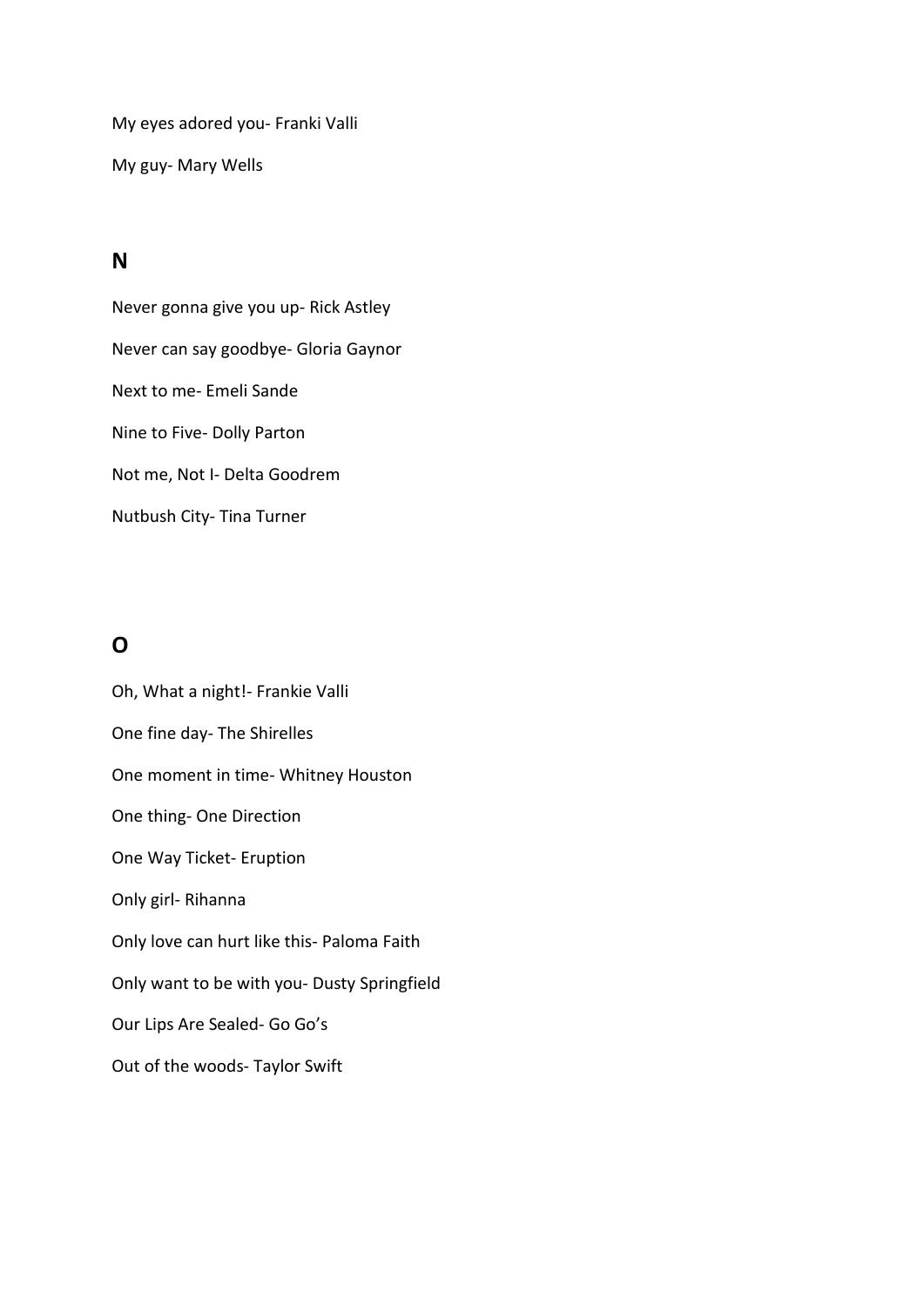My eyes adored you- Franki Valli

My guy- Mary Wells

## **N**

Never gonna give you up- Rick Astley Never can say goodbye- Gloria Gaynor Next to me- Emeli Sande Nine to Five- Dolly Parton Not me, Not I- Delta Goodrem Nutbush City- Tina Turner

# **O**

Oh, What a night!- Frankie Valli One fine day- The Shirelles One moment in time- Whitney Houston One thing- One Direction One Way Ticket- Eruption Only girl- Rihanna Only love can hurt like this- Paloma Faith Only want to be with you- Dusty Springfield Our Lips Are Sealed- Go Go's Out of the woods- Taylor Swift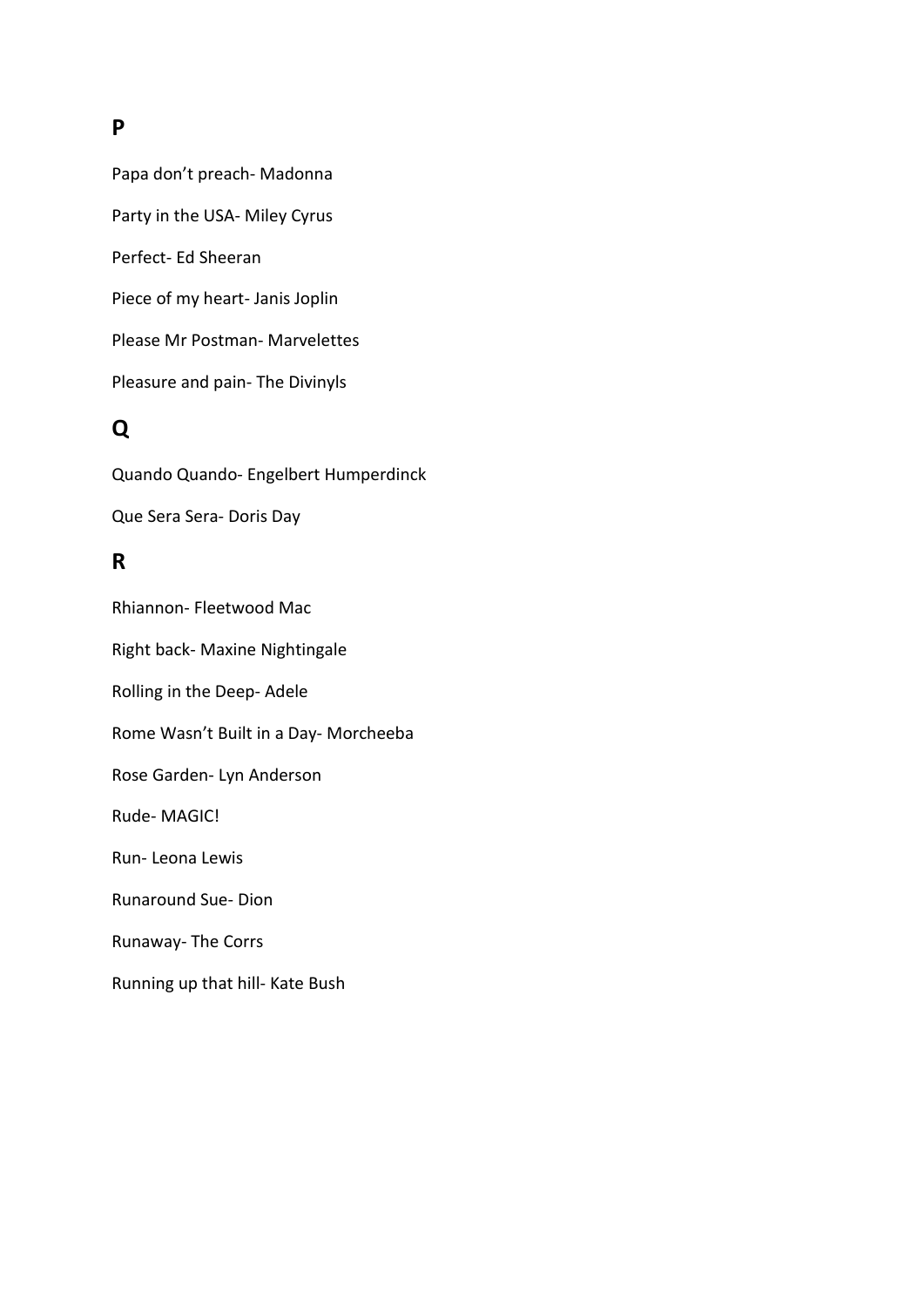### **P**

Papa don't preach- Madonna Party in the USA- Miley Cyrus Perfect- Ed Sheeran Piece of my heart- Janis Joplin Please Mr Postman- Marvelettes Pleasure and pain- The Divinyls

# **Q**

Quando Quando- Engelbert Humperdinck Que Sera Sera- Doris Day

## **R**

Rhiannon- Fleetwood Mac Right back- Maxine Nightingale Rolling in the Deep- Adele Rome Wasn't Built in a Day- Morcheeba Rose Garden- Lyn Anderson Rude- MAGIC! Run- Leona Lewis Runaround Sue- Dion Runaway- The Corrs Running up that hill- Kate Bush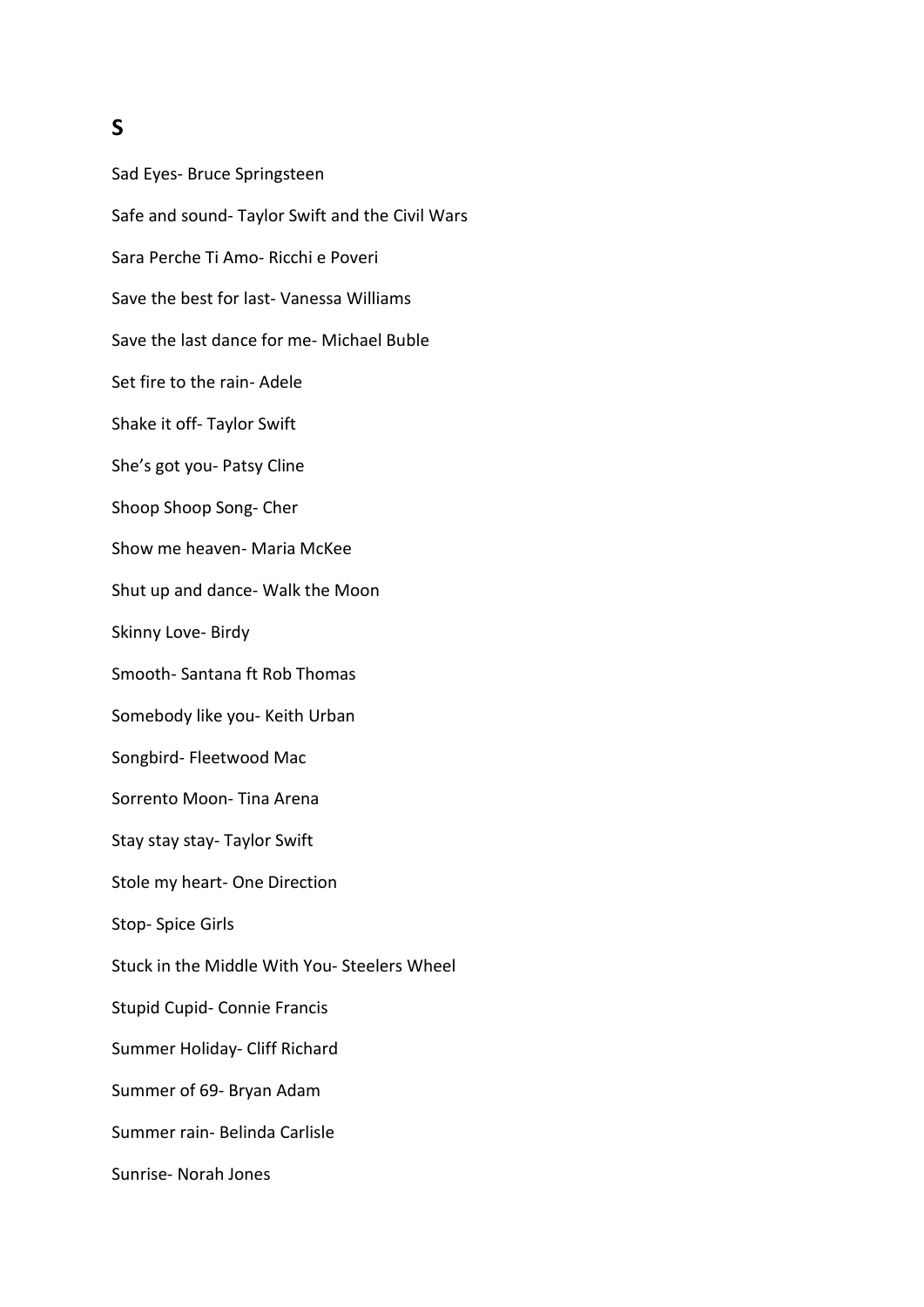### **S**

Sad Eyes- Bruce Springsteen Safe and sound- Taylor Swift and the Civil Wars Sara Perche Ti Amo- Ricchi e Poveri Save the best for last- Vanessa Williams Save the last dance for me- Michael Buble Set fire to the rain- Adele Shake it off- Taylor Swift She's got you- Patsy Cline Shoop Shoop Song- Cher Show me heaven- Maria McKee Shut up and dance- Walk the Moon Skinny Love- Birdy Smooth- Santana ft Rob Thomas Somebody like you- Keith Urban Songbird- Fleetwood Mac Sorrento Moon- Tina Arena Stay stay stay- Taylor Swift Stole my heart- One Direction Stop- Spice Girls Stuck in the Middle With You- Steelers Wheel Stupid Cupid- Connie Francis Summer Holiday- Cliff Richard Summer of 69- Bryan Adam Summer rain- Belinda Carlisle Sunrise- Norah Jones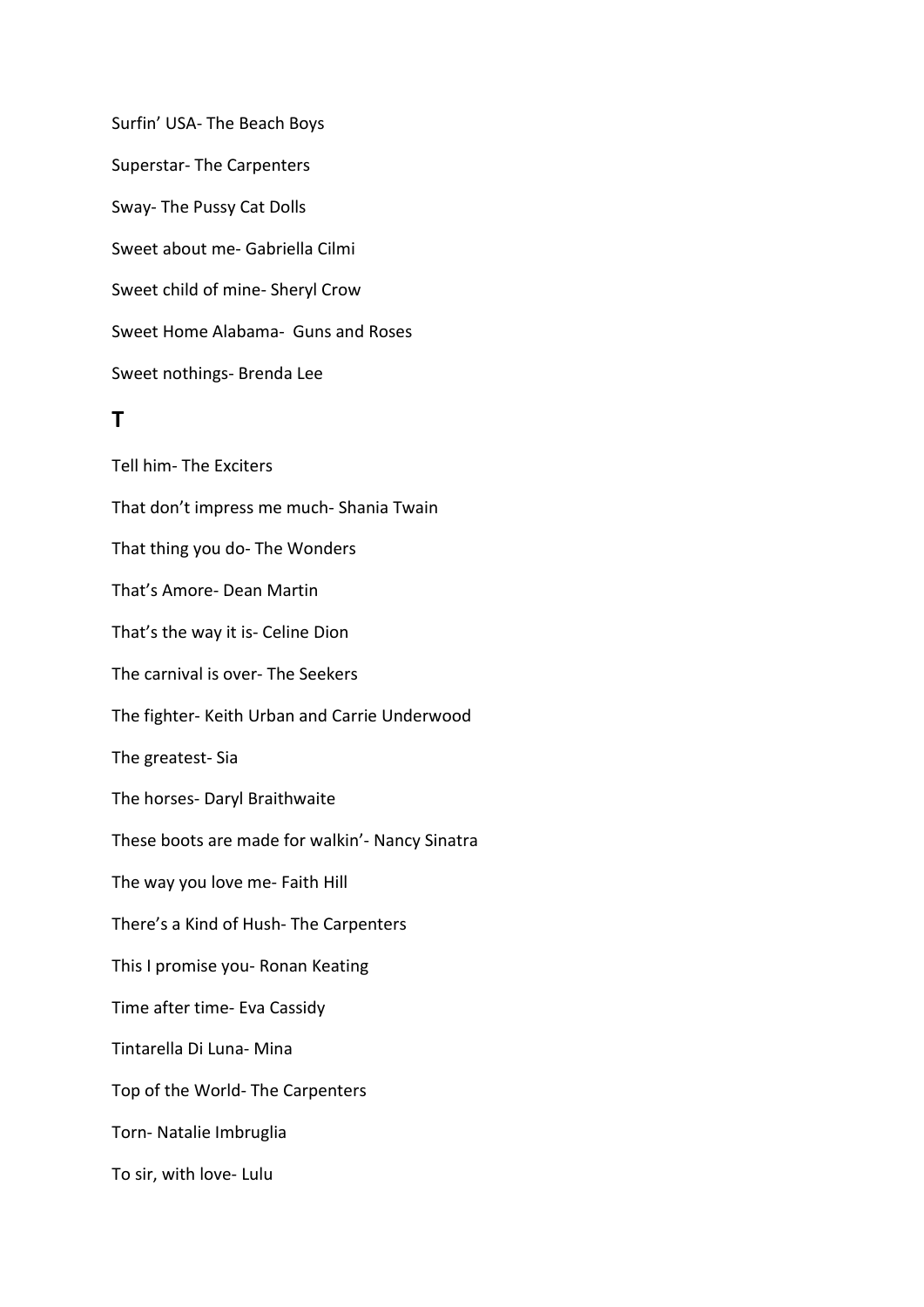Surfin' USA- The Beach Boys Superstar- The Carpenters Sway- The Pussy Cat Dolls Sweet about me- Gabriella Cilmi Sweet child of mine- Sheryl Crow Sweet Home Alabama- Guns and Roses Sweet nothings- Brenda Lee

### **T**

Tell him- The Exciters That don't impress me much- Shania Twain That thing you do- The Wonders That's Amore- Dean Martin That's the way it is- Celine Dion The carnival is over- The Seekers The fighter- Keith Urban and Carrie Underwood The greatest- Sia The horses- Daryl Braithwaite These boots are made for walkin'- Nancy Sinatra The way you love me- Faith Hill There's a Kind of Hush- The Carpenters This I promise you- Ronan Keating Time after time- Eva Cassidy Tintarella Di Luna- Mina Top of the World- The Carpenters Torn- Natalie Imbruglia To sir, with love- Lulu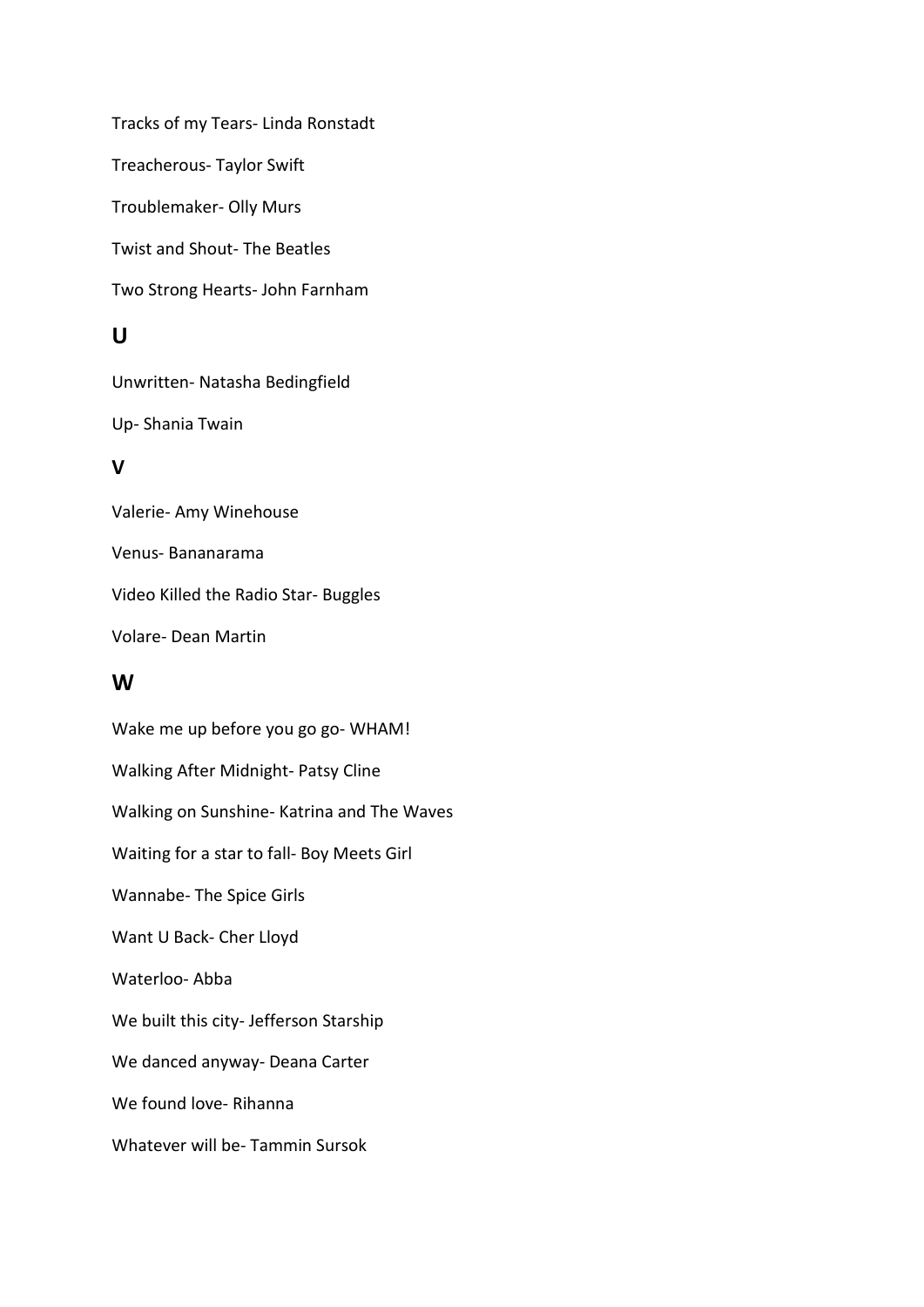Tracks of my Tears- Linda Ronstadt Treacherous- Taylor Swift Troublemaker- Olly Murs Twist and Shout- The Beatles Two Strong Hearts- John Farnham

## **U**

Unwritten- Natasha Bedingfield Up- Shania Twain

## **V**

Valerie- Amy Winehouse Venus- Bananarama Video Killed the Radio Star- Buggles Volare- Dean Martin

### **W**

Wake me up before you go go- WHAM! Walking After Midnight- Patsy Cline Walking on Sunshine- Katrina and The Waves Waiting for a star to fall- Boy Meets Girl Wannabe- The Spice Girls Want U Back- Cher Lloyd Waterloo- Abba We built this city- Jefferson Starship We danced anyway- Deana Carter We found love- Rihanna Whatever will be- Tammin Sursok